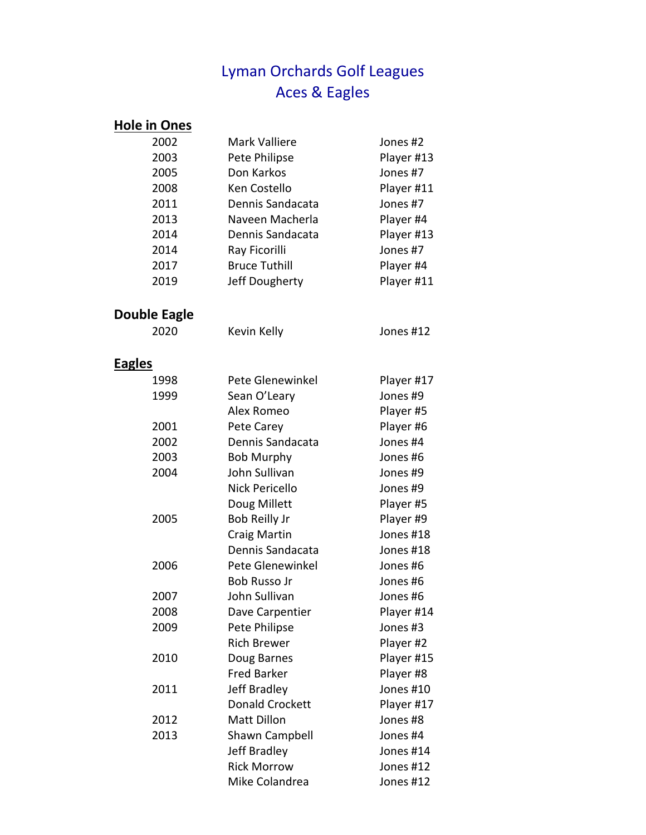## Lyman Orchards Golf Leagues Aces & Eagles

| <b>Hole in Ones</b> |                        |            |
|---------------------|------------------------|------------|
| 2002                | Mark Valliere          | Jones #2   |
| 2003                | Pete Philipse          | Player #13 |
| 2005                | Don Karkos             | Jones #7   |
| 2008                | Ken Costello           | Player #11 |
| 2011                | Dennis Sandacata       | Jones #7   |
| 2013                | Naveen Macherla        | Player #4  |
| 2014                | Dennis Sandacata       | Player #13 |
| 2014                | Ray Ficorilli          | Jones #7   |
| 2017                | <b>Bruce Tuthill</b>   | Player #4  |
| 2019                | Jeff Dougherty         | Player #11 |
| <b>Double Eagle</b> |                        |            |
| 2020                | Kevin Kelly            | Jones #12  |
| Eagles              |                        |            |
| 1998                | Pete Glenewinkel       | Player #17 |
| 1999                | Sean O'Leary           | Jones #9   |
|                     | Alex Romeo             | Player #5  |
| 2001                | Pete Carey             | Player #6  |
| 2002                | Dennis Sandacata       | Jones #4   |
| 2003                | <b>Bob Murphy</b>      | Jones #6   |
| 2004                | John Sullivan          | Jones #9   |
|                     | Nick Pericello         | Jones #9   |
|                     | Doug Millett           | Player #5  |
| 2005                | Bob Reilly Jr          | Player #9  |
|                     | Craig Martin           | Jones #18  |
|                     | Dennis Sandacata       | Jones #18  |
| 2006                | Pete Glenewinkel       | Jones #6   |
|                     | <b>Bob Russo Jr</b>    | Jones #6   |
| 2007                | John Sullivan          | Jones #6   |
| 2008                | Dave Carpentier        | Player #14 |
| 2009                | Pete Philipse          | Jones #3   |
|                     | <b>Rich Brewer</b>     | Player #2  |
| 2010                | Doug Barnes            | Player #15 |
|                     | <b>Fred Barker</b>     | Player #8  |
| 2011                | Jeff Bradley           | Jones #10  |
|                     | <b>Donald Crockett</b> | Player #17 |
| 2012                | <b>Matt Dillon</b>     | Jones #8   |
| 2013                | Shawn Campbell         | Jones #4   |
|                     | Jeff Bradley           | Jones #14  |
|                     | <b>Rick Morrow</b>     | Jones #12  |
|                     | Mike Colandrea         | Jones #12  |